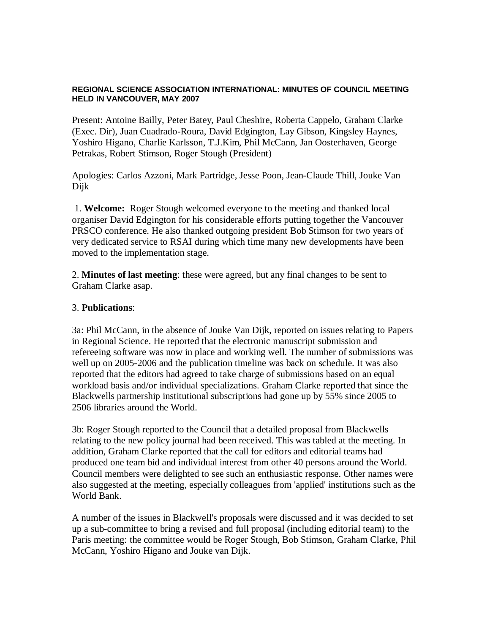#### **REGIONAL SCIENCE ASSOCIATION INTERNATIONAL: MINUTES OF COUNCIL MEETING HELD IN VANCOUVER, MAY 2007**

Present: Antoine Bailly, Peter Batey, Paul Cheshire, Roberta Cappelo, Graham Clarke (Exec. Dir), Juan Cuadrado-Roura, David Edgington, Lay Gibson, Kingsley Haynes, Yoshiro Higano, Charlie Karlsson, T.J.Kim, Phil McCann, Jan Oosterhaven, George Petrakas, Robert Stimson, Roger Stough (President)

Apologies: Carlos Azzoni, Mark Partridge, Jesse Poon, Jean-Claude Thill, Jouke Van Dijk

 1. **Welcome:** Roger Stough welcomed everyone to the meeting and thanked local organiser David Edgington for his considerable efforts putting together the Vancouver PRSCO conference. He also thanked outgoing president Bob Stimson for two years of very dedicated service to RSAI during which time many new developments have been moved to the implementation stage.

2. **Minutes of last meeting**: these were agreed, but any final changes to be sent to Graham Clarke asap.

### 3. **Publications**:

3a: Phil McCann, in the absence of Jouke Van Dijk, reported on issues relating to Papers in Regional Science. He reported that the electronic manuscript submission and refereeing software was now in place and working well. The number of submissions was well up on 2005-2006 and the publication timeline was back on schedule. It was also reported that the editors had agreed to take charge of submissions based on an equal workload basis and/or individual specializations. Graham Clarke reported that since the Blackwells partnership institutional subscriptions had gone up by 55% since 2005 to 2506 libraries around the World.

3b: Roger Stough reported to the Council that a detailed proposal from Blackwells relating to the new policy journal had been received. This was tabled at the meeting. In addition, Graham Clarke reported that the call for editors and editorial teams had produced one team bid and individual interest from other 40 persons around the World. Council members were delighted to see such an enthusiastic response. Other names were also suggested at the meeting, especially colleagues from 'applied' institutions such as the World Bank.

A number of the issues in Blackwell's proposals were discussed and it was decided to set up a sub-committee to bring a revised and full proposal (including editorial team) to the Paris meeting: the committee would be Roger Stough, Bob Stimson, Graham Clarke, Phil McCann, Yoshiro Higano and Jouke van Dijk.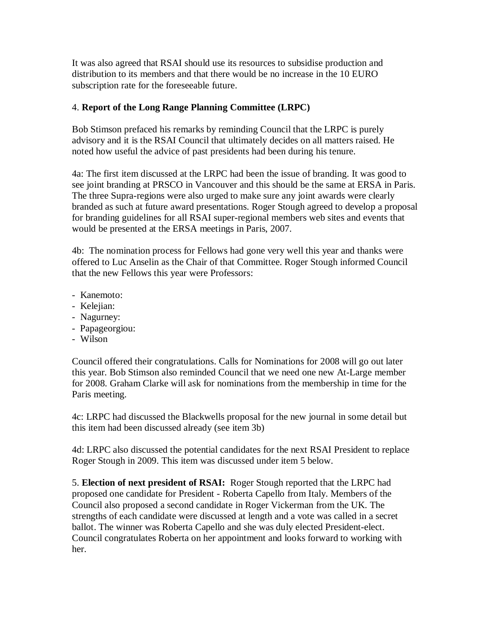It was also agreed that RSAI should use its resources to subsidise production and distribution to its members and that there would be no increase in the 10 EURO subscription rate for the foreseeable future.

# 4. **Report of the Long Range Planning Committee (LRPC)**

Bob Stimson prefaced his remarks by reminding Council that the LRPC is purely advisory and it is the RSAI Council that ultimately decides on all matters raised. He noted how useful the advice of past presidents had been during his tenure.

4a: The first item discussed at the LRPC had been the issue of branding. It was good to see joint branding at PRSCO in Vancouver and this should be the same at ERSA in Paris. The three Supra-regions were also urged to make sure any joint awards were clearly branded as such at future award presentations. Roger Stough agreed to develop a proposal for branding guidelines for all RSAI super-regional members web sites and events that would be presented at the ERSA meetings in Paris, 2007.

4b: The nomination process for Fellows had gone very well this year and thanks were offered to Luc Anselin as the Chair of that Committee. Roger Stough informed Council that the new Fellows this year were Professors:

- Kanemoto:
- Kelejian:
- Nagurney:
- Papageorgiou:
- Wilson

Council offered their congratulations. Calls for Nominations for 2008 will go out later this year. Bob Stimson also reminded Council that we need one new At-Large member for 2008. Graham Clarke will ask for nominations from the membership in time for the Paris meeting.

4c: LRPC had discussed the Blackwells proposal for the new journal in some detail but this item had been discussed already (see item 3b)

4d: LRPC also discussed the potential candidates for the next RSAI President to replace Roger Stough in 2009. This item was discussed under item 5 below.

5. **Election of next president of RSAI:** Roger Stough reported that the LRPC had proposed one candidate for President - Roberta Capello from Italy. Members of the Council also proposed a second candidate in Roger Vickerman from the UK. The strengths of each candidate were discussed at length and a vote was called in a secret ballot. The winner was Roberta Capello and she was duly elected President-elect. Council congratulates Roberta on her appointment and looks forward to working with her.